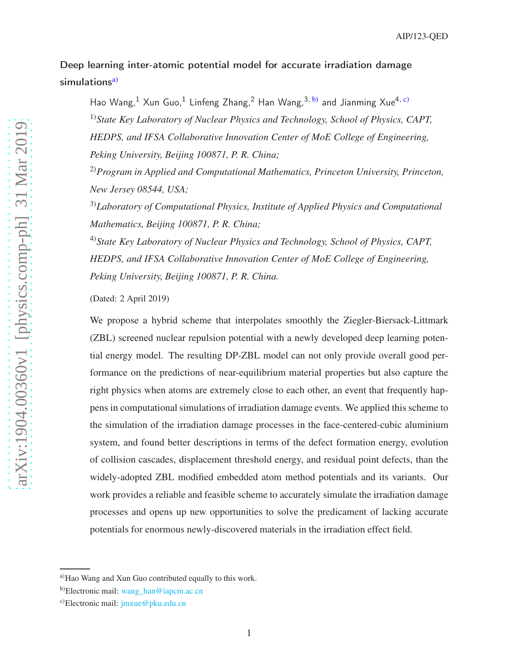# Deep learning inter-atomic potential model for accurate irradiation damage simulations<sup>[a\)](#page-15-0)</sup>

Hao Wang,<sup>1</sup> Xun Guo,<sup>1</sup> Linfeng Zhang,<sup>2</sup> Han Wang,<sup>3, [b\)](#page-15-1)</sup> and Jianming Xue<sup>4, [c\)](#page-15-2)</sup>

1)*State Key Laboratory of Nuclear Physics and Technology, School of Physics, CAPT, HEDPS, and IFSA Collaborative Innovation Center of MoE College of Engineering, Peking University, Beijing 100871, P. R. China;*

2)*Program in Applied and Computational Mathematics, Princeton University, Princeton, New Jersey 08544, USA;*

3)*Laboratory of Computational Physics, Institute of Applied Physics and Computational Mathematics, Beijing 100871, P. R. China;*

4)*State Key Laboratory of Nuclear Physics and Technology, School of Physics, CAPT, HEDPS, and IFSA Collaborative Innovation Center of MoE College of Engineering, Peking University, Beijing 100871, P. R. China.*

(Dated: 2 April 2019)

We propose a hybrid scheme that interpolates smoothly the Ziegler-Biersack-Littmark (ZBL) screened nuclear repulsion potential with a newly developed deep learning potential energy model. The resulting DP-ZBL model can not only provide overall good performance on the predictions of near-equilibrium material properties but also capture the right physics when atoms are extremely close to each other, an event that frequently happens in computational simulations of irradiation damage events. We applied this scheme to the simulation of the irradiation damage processes in the face-centered-cubic aluminium system, and found better descriptions in terms of the defect formation energy, evolution of collision cascades, displacement threshold energy, and residual point defects, than the widely-adopted ZBL modified embedded atom method potentials and its variants. Our work provides a reliable and feasible scheme to accurately simulate the irradiation damage processes and opens up new opportunities to solve the predicament of lacking accurate potentials for enormous newly-discovered materials in the irradiation effect field.

a)Hao Wang and Xun Guo contributed equally to this work.

b)Electronic mail: [wang\\_han@iapcm.ac.cn](mailto:wang_han@iapcm.ac.cn)

c)Electronic mail: [jmxue@pku.edu.cn](mailto:jmxue@pku.edu.cn)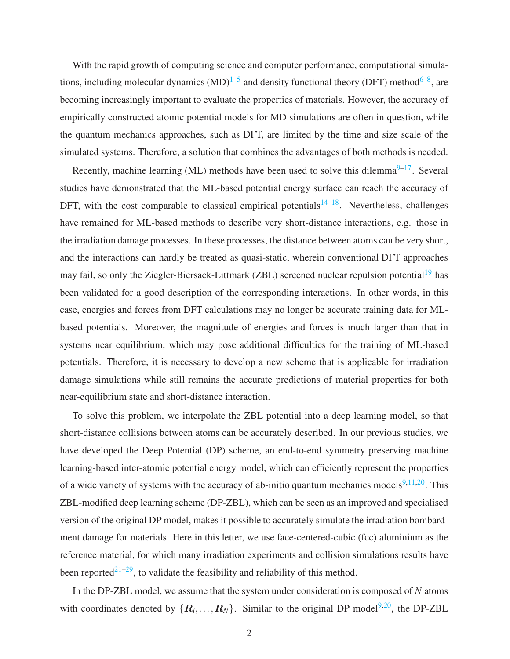With the rapid growth of computing science and computer performance, computational simulations, including molecular dynamics  $(MD)^{1-5}$  $(MD)^{1-5}$  $(MD)^{1-5}$  and density functional theory (DFT) method<sup>[6](#page-9-2)-8</sup>, are becoming increasingly important to evaluate the properties of materials. However, the accuracy of empirically constructed atomic potential models for MD simulations are often in question, while the quantum mechanics approaches, such as DFT, are limited by the time and size scale of the simulated systems. Therefore, a solution that combines the advantages of both methods is needed.

Recently, machine learning (ML) methods have been used to solve this dilemma $9-17$  $9-17$ . Several studies have demonstrated that the ML-based potential energy surface can reach the accuracy of DFT, with the cost comparable to classical empirical potentials<sup>[14](#page-10-2)[–18](#page-10-3)</sup>. Nevertheless, challenges have remained for ML-based methods to describe very short-distance interactions, e.g. those in the irradiation damage processes. In these processes, the distance between atoms can be very short, and the interactions can hardly be treated as quasi-static, wherein conventional DFT approaches may fail, so only the Ziegler-Biersack-Littmark (ZBL) screened nuclear repulsion potential<sup>[19](#page-24-0)</sup> has been validated for a good description of the corresponding interactions. In other words, in this case, energies and forces from DFT calculations may no longer be accurate training data for MLbased potentials. Moreover, the magnitude of energies and forces is much larger than that in systems near equilibrium, which may pose additional difficulties for the training of ML-based potentials. Therefore, it is necessary to develop a new scheme that is applicable for irradiation damage simulations while still remains the accurate predictions of material properties for both near-equilibrium state and short-distance interaction.

To solve this problem, we interpolate the ZBL potential into a deep learning model, so that short-distance collisions between atoms can be accurately described. In our previous studies, we have developed the Deep Potential (DP) scheme, an end-to-end symmetry preserving machine learning-based inter-atomic potential energy model, which can efficiently represent the properties of a wide variety of systems with the accuracy of ab-initio quantum mechanics models $9,11,20$  $9,11,20$  $9,11,20$ . This ZBL-modified deep learning scheme (DP-ZBL), which can be seen as an improved and specialised version of the original DP model, makes it possible to accurately simulate the irradiation bombardment damage for materials. Here in this letter, we use face-centered-cubic (fcc) aluminium as the reference material, for which many irradiation experiments and collision simulations results have been reported<sup>[21](#page-10-6)[–29](#page-24-1)</sup>, to validate the feasibility and reliability of this method.

In the DP-ZBL model, we assume that the system under consideration is composed of *N* atoms with coordinates denoted by  $\{R_i, \ldots, R_N\}$ . Similar to the original DP model<sup>[9](#page-10-0)[,20](#page-10-5)</sup>, the DP-ZBL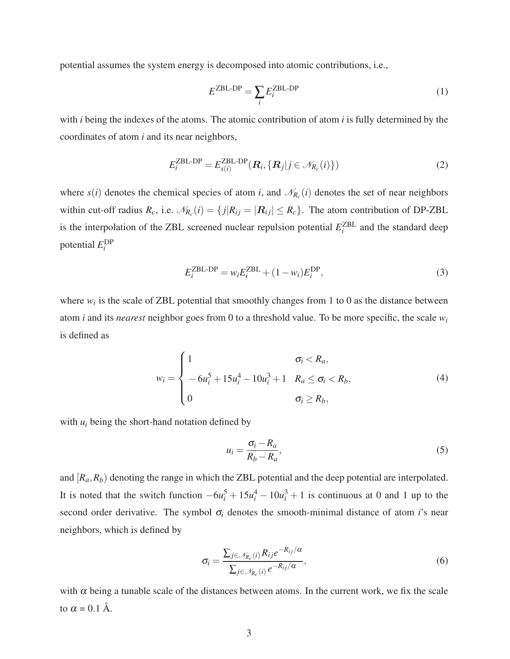potential assumes the system energy is decomposed into atomic contributions, i.e.,

$$
E^{\text{ZBL-DP}} = \sum_{i} E_i^{\text{ZBL-DP}} \tag{1}
$$

with *i* being the indexes of the atoms. The atomic contribution of atom *i* is fully determined by the coordinates of atom *i* and its near neighbors,

$$
E_i^{\text{ZBL-DP}} = E_{s(i)}^{\text{ZBL-DP}}(\mathbf{R}_i, \{\mathbf{R}_j | j \in \mathcal{N}_{R_c}(i)\})
$$
\n(2)

where  $s(i)$  denotes the chemical species of atom *i*, and  $\mathcal{N}_{R_c}(i)$  denotes the set of near neighbors within cut-off radius  $R_c$ , i.e.  $\mathcal{N}_{R_c}(i) = \{j | R_{ij} = |R_{ij}| \le R_c\}$ . The atom contribution of DP-ZBL is the interpolation of the ZBL screened nuclear repulsion potential  $E_i^{\text{ZBL}}$  $\chi_i^Z$  and the standard deep potential  $E_i^{\text{DP}}$ *i*

$$
E_i^{\text{ZBL-DP}} = w_i E_i^{\text{ZBL}} + (1 - w_i) E_i^{\text{DP}},
$$
\n(3)

where  $w_i$  is the scale of ZBL potential that smoothly changes from 1 to 0 as the distance between atom *i* and its *nearest* neighbor goes from 0 to a threshold value. To be more specific, the scale *w<sup>i</sup>* is defined as

$$
w_i = \begin{cases} 1 & \sigma_i < R_a, \\ -6u_i^5 + 15u_i^4 - 10u_i^3 + 1 & R_a \le \sigma_i < R_b, \\ 0 & \sigma_i \ge R_b, \end{cases}
$$
(4)

with  $u_i$  being the short-hand notation defined by

<span id="page-2-0"></span>
$$
u_i = \frac{\sigma_i - R_a}{R_b - R_a},\tag{5}
$$

and  $[R_a, R_b]$  denoting the range in which the ZBL potential and the deep potential are interpolated. It is noted that the switch function  $-6u_i^5 + 15u_i^4 - 10u_i^3 + 1$  is continuous at 0 and 1 up to the second order derivative. The symbol  $\sigma_i$  denotes the smooth-minimal distance of atom *i*'s near neighbors, which is defined by

$$
\sigma_i = \frac{\sum_{j \in \mathcal{N}_{R_c}(i)} R_{ij} e^{-R_{ij}/\alpha}}{\sum_{j \in \mathcal{N}_{R_c}(i)} e^{-R_{ij}/\alpha}},\tag{6}
$$

with  $\alpha$  being a tunable scale of the distances between atoms. In the current work, we fix the scale to  $\alpha = 0.1$  Å.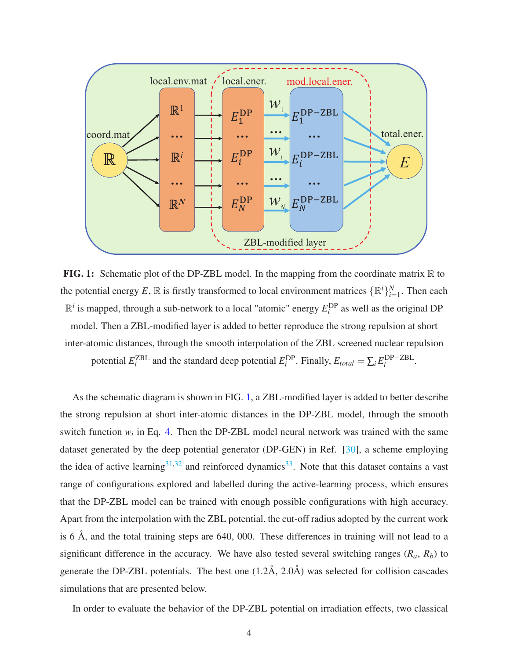<span id="page-3-0"></span>

FIG. 1: Schematic plot of the DP-ZBL model. In the mapping from the coordinate matrix  $\mathbb R$  to the potential energy E,  $\mathbb R$  is firstly transformed to local environment matrices  $\{\mathbb R^i\}_{i=1}^N$ . Then each  $\mathbb{R}^i$  is mapped, through a sub-network to a local "atomic" energy  $E_i^{\text{DP}}$  $i$ <sup>DP</sup> as well as the original DP model. Then a ZBL-modified layer is added to better reproduce the strong repulsion at short inter-atomic distances, through the smooth interpolation of the ZBL screened nuclear repulsion potential  $E_i^{\text{ZBL}}$  $_{i}^{\text{ZBL}}$  and the standard deep potential  $E_{i}^{\text{DP}}$ <sup>*DP*</sup>. Finally,  $E_{total} = \sum_{i} E_i^{\text{DP-ZBL}}$ *i* .

As the schematic diagram is shown in FIG. [1,](#page-3-0) a ZBL-modified layer is added to better describe the strong repulsion at short inter-atomic distances in the DP-ZBL model, through the smooth switch function  $w_i$  in Eq. [4.](#page-2-0) Then the DP-ZBL model neural network was trained with the same dataset generated by the deep potential generator (DP-GEN) in Ref. [\[30](#page-11-0)], a scheme employing the idea of active learning $31,32$  $31,32$  and reinforced dynamics $33$ . Note that this dataset contains a vast range of configurations explored and labelled during the active-learning process, which ensures that the DP-ZBL model can be trained with enough possible configurations with high accuracy. Apart from the interpolation with the ZBL potential, the cut-off radius adopted by the current work is 6 Å, and the total training steps are 640, 000. These differences in training will not lead to a significant difference in the accuracy. We have also tested several switching ranges  $(R_a, R_b)$  to generate the DP-ZBL potentials. The best one (1.2Å, 2.0Å) was selected for collision cascades simulations that are presented below.

In order to evaluate the behavior of the DP-ZBL potential on irradiation effects, two classical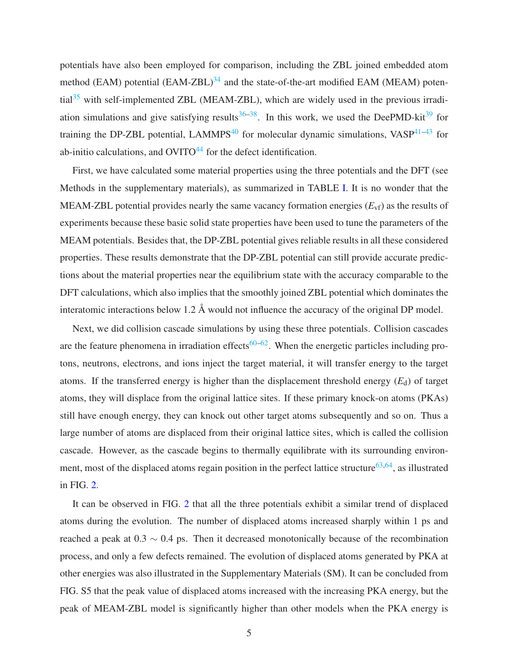potentials have also been employed for comparison, including the ZBL joined embedded atom method (EAM) potential  $(EAM-ZBL)^{34}$  $(EAM-ZBL)^{34}$  $(EAM-ZBL)^{34}$  and the state-of-the-art modified EAM (MEAM) poten- $\text{tail}^{35}$  $\text{tail}^{35}$  $\text{tail}^{35}$  with self-implemented ZBL (MEAM-ZBL), which are widely used in the previous irradiation simulations and give satisfying results $36-38$  $36-38$ . In this work, we used the DeePMD-kit<sup>[39](#page-12-3)</sup> for training the DP-ZBL potential, LAMMPS<sup>[40](#page-23-0)</sup> for molecular dynamic simulations,  $VASP^{41-43}$  $VASP^{41-43}$  $VASP^{41-43}$  for ab-initio calculations, and  $\text{OVITO}^{44}$  $\text{OVITO}^{44}$  $\text{OVITO}^{44}$  for the defect identification.

First, we have calculated some material properties using the three potentials and the DFT (see Methods in the supplementary materials), as summarized in TABLE [I.](#page-5-0) It is no wonder that the MEAM-ZBL potential provides nearly the same vacancy formation energies  $(E_{\text{vf}})$  as the results of experiments because these basic solid state properties have been used to tune the parameters of the MEAM potentials. Besides that, the DP-ZBL potential gives reliable results in all these considered properties. These results demonstrate that the DP-ZBL potential can still provide accurate predictions about the material properties near the equilibrium state with the accuracy comparable to the DFT calculations, which also implies that the smoothly joined ZBL potential which dominates the interatomic interactions below 1.2 Å would not influence the accuracy of the original DP model.

Next, we did collision cascade simulations by using these three potentials. Collision cascades are the feature phenomena in irradiation effects<sup>[60](#page-13-0)[–62](#page-14-0)</sup>. When the energetic particles including protons, neutrons, electrons, and ions inject the target material, it will transfer energy to the target atoms. If the transferred energy is higher than the displacement threshold energy  $(E_d)$  of target atoms, they will displace from the original lattice sites. If these primary knock-on atoms (PKAs) still have enough energy, they can knock out other target atoms subsequently and so on. Thus a large number of atoms are displaced from their original lattice sites, which is called the collision cascade. However, as the cascade begins to thermally equilibrate with its surrounding environ-ment, most of the displaced atoms regain position in the perfect lattice structure<sup>[63](#page-14-1)[,64](#page-14-2)</sup>, as illustrated in FIG. [2.](#page-6-0)

It can be observed in FIG. [2](#page-6-0) that all the three potentials exhibit a similar trend of displaced atoms during the evolution. The number of displaced atoms increased sharply within 1 ps and reached a peak at 0.3  $\sim$  0.4 ps. Then it decreased monotonically because of the recombination process, and only a few defects remained. The evolution of displaced atoms generated by PKA at other energies was also illustrated in the Supplementary Materials (SM). It can be concluded from FIG. S5 that the peak value of displaced atoms increased with the increasing PKA energy, but the peak of MEAM-ZBL model is significantly higher than other models when the PKA energy is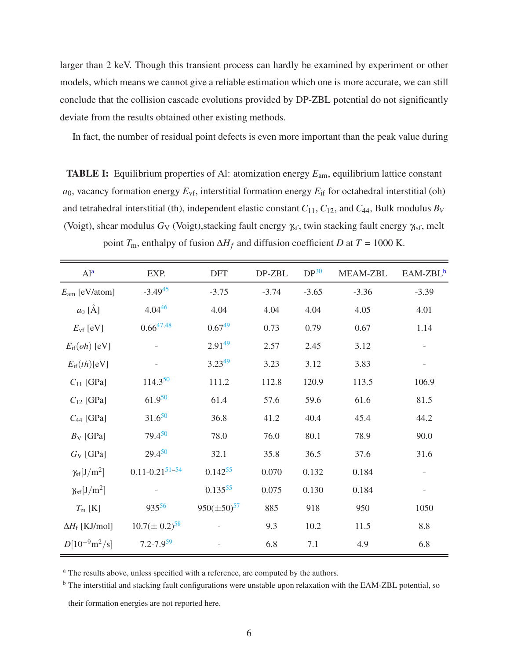larger than 2 keV. Though this transient process can hardly be examined by experiment or other models, which means we cannot give a reliable estimation which one is more accurate, we can still conclude that the collision cascade evolutions provided by DP-ZBL potential do not significantly deviate from the results obtained other existing methods.

<span id="page-5-0"></span>In fact, the number of residual point defects is even more important than the peak value during

TABLE I: Equilibrium properties of Al: atomization energy *E*am, equilibrium lattice constant  $a_0$ , vacancy formation energy  $E_{\rm vf}$ , interstitial formation energy  $E_{\rm if}$  for octahedral interstitial (oh) and tetrahedral interstitial (th), independent elastic constant  $C_{11}$ ,  $C_{12}$ , and  $C_{44}$ , Bulk modulus  $B_V$ (Voigt), shear modulus *G*<sub>V</sub> (Voigt), stacking fault energy  $\gamma_{sf}$ , twin stacking fault energy  $\gamma_{sf}$ , melt point  $T_m$ , enthalpy of fusion  $\Delta H_f$  and diffusion coefficient *D* at  $T = 1000$  K.

| Al <sup>a</sup>                  | EXP.                           | <b>DFT</b>         | DP-ZBL  | DP <sup>30</sup> | MEAM-ZBL | EAM-ZBL <sup>b</sup> |
|----------------------------------|--------------------------------|--------------------|---------|------------------|----------|----------------------|
| $E_{\text{am}}$ [eV/atom]        | $-3.49^{45}$                   | $-3.75$            | $-3.74$ | $-3.65$          | $-3.36$  | $-3.39$              |
| $a_0$ [Å]                        | $4.04^{46}$                    | 4.04               | 4.04    | 4.04             | 4.05     | 4.01                 |
| $E_{\rm vf}$ [eV]                | $0.66^{47,48}$                 | $0.67^{49}$        | 0.73    | 0.79             | 0.67     | 1.14                 |
| $E_{\rm if}(oh)$ [eV]            |                                | $2.91^{49}$        | 2.57    | 2.45             | 3.12     |                      |
| $E_{\rm if}(th)[eV]$             |                                | $3.23^{49}$        | 3.23    | 3.12             | 3.83     |                      |
| $C_{11}$ [GPa]                   | $114.3^{50}$                   | 111.2              | 112.8   | 120.9            | 113.5    | 106.9                |
| $C_{12}$ [GPa]                   | $61.9^{50}$                    | 61.4               | 57.6    | 59.6             | 61.6     | 81.5                 |
| $C_{44}$ [GPa]                   | $31.6^{50}$                    | 36.8               | 41.2    | 40.4             | 45.4     | 44.2                 |
| $B_V$ [GPa]                      | $79.4^{50}$                    | 78.0               | 76.0    | 80.1             | 78.9     | 90.0                 |
| $G_V$ [GPa]                      | $29.4^{50}$                    | 32.1               | 35.8    | 36.5             | 37.6     | 31.6                 |
| $\gamma_{\rm sf}[{\rm J/m^2}]$   | $0.11 - 0.21$ <sup>51-54</sup> | $0.142^{55}$       | 0.070   | 0.132            | 0.184    |                      |
| $\gamma_{\rm{tsf}}[J/\rm{m}^2]$  |                                | $0.135^{55}$       | 0.075   | 0.130            | 0.184    |                      |
| $T_{\rm m}$ [K]                  | 93556                          | $950(\pm 50)^{57}$ | 885     | 918              | 950      | 1050                 |
| $\Delta H_{\rm f}$ [KJ/mol]      | $10.7(\pm 0.2)^{58}$           |                    | 9.3     | 10.2             | 11.5     | 8.8                  |
| $D[10^{-9} \text{m}^2/\text{s}]$ | $7.2 - 7.9^{59}$               |                    | 6.8     | 7.1              | 4.9      | 6.8                  |

<sup>a</sup> The results above, unless specified with a reference, are computed by the authors.

<span id="page-5-1"></span><sup>b</sup> The interstitial and stacking fault configurations were unstable upon relaxation with the EAM-ZBL potential, so

<span id="page-5-2"></span>their formation energies are not reported here.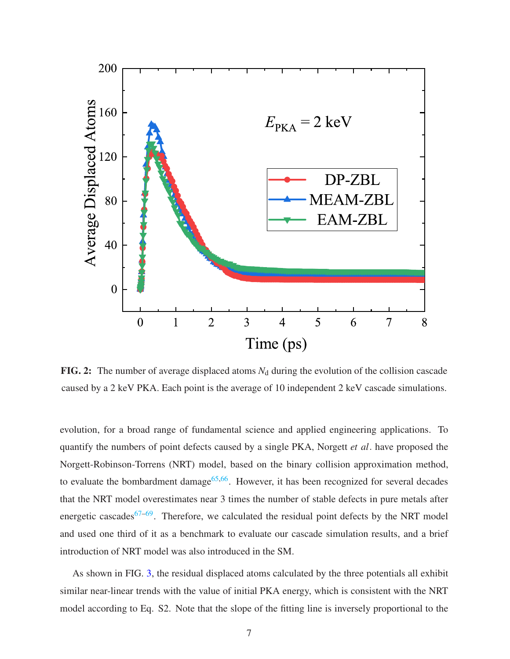<span id="page-6-0"></span>

FIG. 2: The number of average displaced atoms  $N_d$  during the evolution of the collision cascade caused by a 2 keV PKA. Each point is the average of 10 independent 2 keV cascade simulations.

evolution, for a broad range of fundamental science and applied engineering applications. To quantify the numbers of point defects caused by a single PKA, Norgett *et al*. have proposed the Norgett-Robinson-Torrens (NRT) model, based on the binary collision approximation method, to evaluate the bombardment damage<sup>[65](#page-14-3)[,66](#page-24-5)</sup>. However, it has been recognized for several decades that the NRT model overestimates near 3 times the number of stable defects in pure metals after energetic cascades<sup>[67](#page-24-6)[–69](#page-24-7)</sup>. Therefore, we calculated the residual point defects by the NRT model and used one third of it as a benchmark to evaluate our cascade simulation results, and a brief introduction of NRT model was also introduced in the SM.

As shown in FIG. [3,](#page-7-0) the residual displaced atoms calculated by the three potentials all exhibit similar near-linear trends with the value of initial PKA energy, which is consistent with the NRT model according to Eq. S2. Note that the slope of the fitting line is inversely proportional to the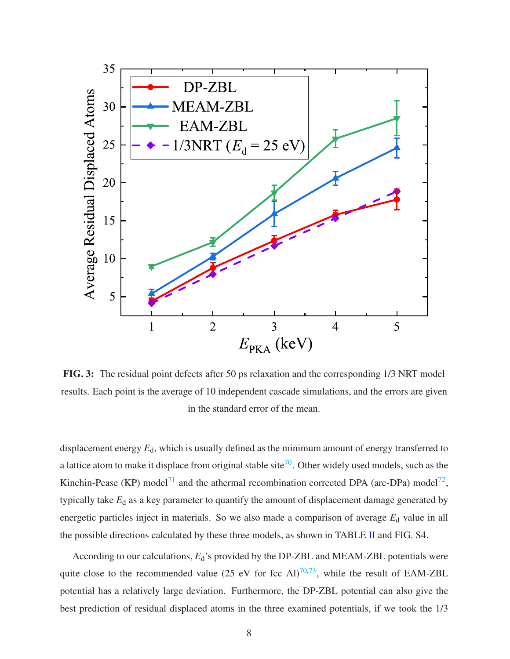<span id="page-7-0"></span>

FIG. 3: The residual point defects after 50 ps relaxation and the corresponding 1/3 NRT model results. Each point is the average of 10 independent cascade simulations, and the errors are given in the standard error of the mean.

displacement energy  $E_d$ , which is usually defined as the minimum amount of energy transferred to a lattice atom to make it displace from original stable site<sup>[70](#page-14-4)</sup>. Other widely used models, such as the Kinchin-Pease (KP) model<sup>[71](#page-14-5)</sup> and the athermal recombination corrected DPA (arc-DPa) model<sup>[72](#page-24-8)</sup>, typically take  $E_d$  as a key parameter to quantify the amount of displacement damage generated by energetic particles inject in materials. So we also made a comparison of average  $E_d$  value in all the possible directions calculated by these three models, as shown in TABLE [II](#page-8-0) and FIG. S4.

According to our calculations,  $E_d$ 's provided by the DP-ZBL and MEAM-ZBL potentials were quite close to the recommended value (25 eV for fcc Al)<sup>[70](#page-14-4)[,73](#page-14-6)</sup>, while the result of EAM-ZBL potential has a relatively large deviation. Furthermore, the DP-ZBL potential can also give the best prediction of residual displaced atoms in the three examined potentials, if we took the 1/3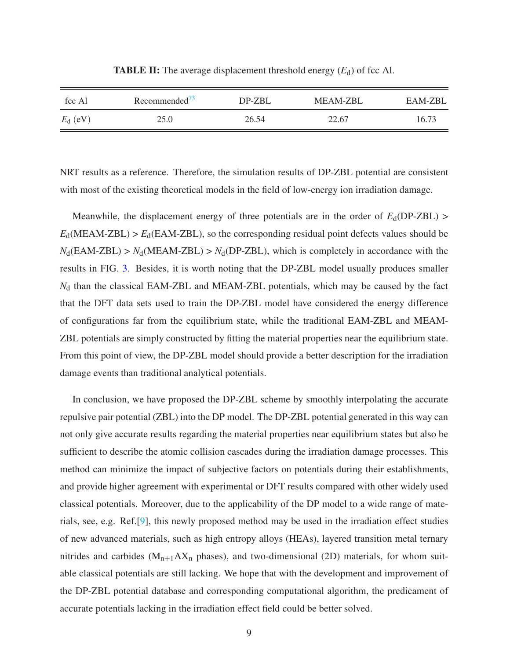<span id="page-8-0"></span>

| fcc Al           | Recommended <sup>73</sup> | DP-ZBL | <b>MEAM-ZBL</b> | EAM-ZBL |
|------------------|---------------------------|--------|-----------------|---------|
| $E_{\rm d}$ (eV) | 25.0                      | 26.54  | 22.67           | 16.73   |

**TABLE II:** The average displacement threshold energy  $(E_d)$  of fcc Al.

NRT results as a reference. Therefore, the simulation results of DP-ZBL potential are consistent with most of the existing theoretical models in the field of low-energy ion irradiation damage.

Meanwhile, the displacement energy of three potentials are in the order of  $E_d(DP-ZBL)$  $E_d(\text{MEAM-ZBL})$  >  $E_d(\text{EAM-ZBL})$ , so the corresponding residual point defects values should be  $N_d$ (EAM-ZBL) >  $N_d$ (MEAM-ZBL) >  $N_d$ (DP-ZBL), which is completely in accordance with the results in FIG. [3.](#page-7-0) Besides, it is worth noting that the DP-ZBL model usually produces smaller *N*<sub>d</sub> than the classical EAM-ZBL and MEAM-ZBL potentials, which may be caused by the fact that the DFT data sets used to train the DP-ZBL model have considered the energy difference of configurations far from the equilibrium state, while the traditional EAM-ZBL and MEAM-ZBL potentials are simply constructed by fitting the material properties near the equilibrium state. From this point of view, the DP-ZBL model should provide a better description for the irradiation damage events than traditional analytical potentials.

In conclusion, we have proposed the DP-ZBL scheme by smoothly interpolating the accurate repulsive pair potential (ZBL) into the DP model. The DP-ZBL potential generated in this way can not only give accurate results regarding the material properties near equilibrium states but also be sufficient to describe the atomic collision cascades during the irradiation damage processes. This method can minimize the impact of subjective factors on potentials during their establishments, and provide higher agreement with experimental or DFT results compared with other widely used classical potentials. Moreover, due to the applicability of the DP model to a wide range of materials, see, e.g. Ref.[\[9](#page-10-0)], this newly proposed method may be used in the irradiation effect studies of new advanced materials, such as high entropy alloys (HEAs), layered transition metal ternary nitrides and carbides ( $M_{n+1}AX_n$  phases), and two-dimensional (2D) materials, for whom suitable classical potentials are still lacking. We hope that with the development and improvement of the DP-ZBL potential database and corresponding computational algorithm, the predicament of accurate potentials lacking in the irradiation effect field could be better solved.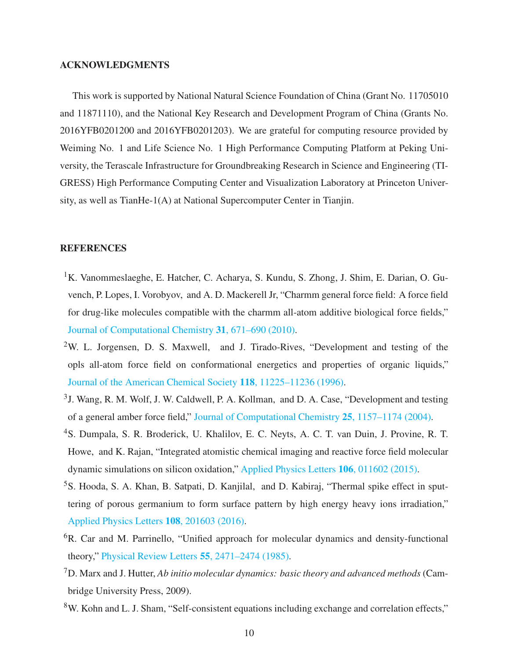#### ACKNOWLEDGMENTS

This work is supported by National Natural Science Foundation of China (Grant No. 11705010 and 11871110), and the National Key Research and Development Program of China (Grants No. 2016YFB0201200 and 2016YFB0201203). We are grateful for computing resource provided by Weiming No. 1 and Life Science No. 1 High Performance Computing Platform at Peking University, the Terascale Infrastructure for Groundbreaking Research in Science and Engineering (TI-GRESS) High Performance Computing Center and Visualization Laboratory at Princeton University, as well as TianHe-1(A) at National Supercomputer Center in Tianjin.

#### **REFERENCES**

- <span id="page-9-0"></span><sup>1</sup>K. Vanommeslaeghe, E. Hatcher, C. Acharya, S. Kundu, S. Zhong, J. Shim, E. Darian, O. Guvench, P. Lopes, I. Vorobyov, and A. D. Mackerell Jr, "Charmm general force field: A force field for drug-like molecules compatible with the charmm all-atom additive biological force fields," [Journal of Computational Chemistry](http://dx.doi.org/10.1002/jcc.21367) 31, 671–690 (2010).
- <sup>2</sup>W. L. Jorgensen, D. S. Maxwell, and J. Tirado-Rives, "Development and testing of the opls all-atom force field on conformational energetics and properties of organic liquids," [Journal of the American Chemical Society](http://dx.doi.org/ 10.1021/ja9621760) 118, 11225–11236 (1996).
- <sup>3</sup> J. Wang, R. M. Wolf, J. W. Caldwell, P. A. Kollman, and D. A. Case, "Development and testing of a general amber force field," [Journal of Computational Chemistry](http://dx.doi.org/10.1002/jcc.20035) 25, 1157–1174 (2004).
- <sup>4</sup>S. Dumpala, S. R. Broderick, U. Khalilov, E. C. Neyts, A. C. T. van Duin, J. Provine, R. T. Howe, and K. Rajan, "Integrated atomistic chemical imaging and reactive force field molecular dynamic simulations on silicon oxidation," [Applied Physics Letters](http://dx.doi.org/ 10.1063/1.4905442) 106, 011602 (2015).
- <span id="page-9-1"></span><sup>5</sup>S. Hooda, S. A. Khan, B. Satpati, D. Kanjilal, and D. Kabiraj, "Thermal spike effect in sputtering of porous germanium to form surface pattern by high energy heavy ions irradiation," [Applied Physics Letters](http://dx.doi.org/10.1063/1.4950710) 108, 201603 (2016).
- <span id="page-9-2"></span><sup>6</sup>R. Car and M. Parrinello, "Unified approach for molecular dynamics and density-functional theory," [Physical Review Letters](http://dx.doi.org/10.1103/PhysRevLett.55.2471) 55, 2471–2474 (1985).
- <sup>7</sup>D. Marx and J. Hutter, *Ab initio molecular dynamics: basic theory and advanced methods* (Cambridge University Press, 2009).
- <span id="page-9-3"></span><sup>8</sup>W. Kohn and L. J. Sham, "Self-consistent equations including exchange and correlation effects,"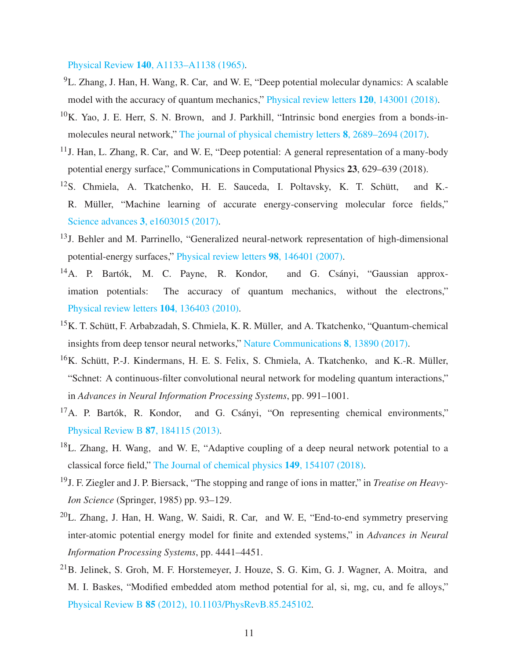Physical Review 140[, A1133–A1138 \(1965\).](http://dx.doi.org/ 10.1103/PhysRev.140.A1133)

- <span id="page-10-0"></span><sup>9</sup>L. Zhang, J. Han, H. Wang, R. Car, and W. E, "Deep potential molecular dynamics: A scalable model with the accuracy of quantum mechanics," [Physical review letters](http://dx.doi.org/ 10.1103/PhysRevLett.120.143001) 120, 143001 (2018).
- <sup>10</sup>K. Yao, J. E. Herr, S. N. Brown, and J. Parkhill, "Intrinsic bond energies from a bonds-inmolecules neural network," [The journal of physical chemistry letters](https://pubs.acs.org.ccindex.cn/doi/pdfplus/10.1021/acs.jpclett.7b01072) 8, 2689–2694 (2017).
- <span id="page-10-4"></span><sup>11</sup>J. Han, L. Zhang, R. Car, and W. E, "Deep potential: A general representation of a many-body potential energy surface," Communications in Computational Physics 23, 629–639 (2018).
- $12$ S. Chmiela, A. Tkatchenko, H. E. Sauceda, I. Poltavsky, K. T. Schütt, and K.-R. Müller, "Machine learning of accurate energy-conserving molecular force fields," Science advances 3[, e1603015 \(2017\).](https://www.ncbi.nlm.nih.gov/pmc/articles/PMC5419702/pdf/1603015.pdf)
- <sup>13</sup>J. Behler and M. Parrinello, "Generalized neural-network representation of high-dimensional potential-energy surfaces," [Physical review letters](https://journals.aps.org/prl/pdf/10.1103/PhysRevLett.98.146401) 98, 146401 (2007).
- <span id="page-10-2"></span><sup>14</sup>A. P. Bartók, M. C. Payne, R. Kondor, and G. Csányi, "Gaussian approximation potentials: The accuracy of quantum mechanics, without the electrons," [Physical review letters](https://journals.aps.org/prl/pdf/10.1103/PhysRevLett.104.136403) 104, 136403 (2010).
- <sup>15</sup>K. T. Schütt, F. Arbabzadah, S. Chmiela, K. R. Müller, and A. Tkatchenko, "Quantum-chemical insights from deep tensor neural networks," [Nature Communications](http://dx.doi.org/10.1038/ncomms13890 https://www.nature.com/articles/ncomms13890#supplementary-information) 8, 13890 (2017).
- <sup>16</sup>K. Schütt, P.-J. Kindermans, H. E. S. Felix, S. Chmiela, A. Tkatchenko, and K.-R. Müller, "Schnet: A continuous-filter convolutional neural network for modeling quantum interactions," in *Advances in Neural Information Processing Systems*, pp. 991–1001.
- <span id="page-10-1"></span> $17A$ . P. Bartók, R. Kondor, and G. Csányi, "On representing chemical environments," [Physical Review B](http://dx.doi.org/10.1103/PhysRevB.87.184115) 87, 184115 (2013).
- <span id="page-10-3"></span><sup>18</sup>L. Zhang, H. Wang, and W. E, "Adaptive coupling of a deep neural network potential to a classical force field," [The Journal of chemical physics](http://dx.doi.org/10.1063/1.5042714) 149, 154107 (2018).
- <sup>19</sup>J. F. Ziegler and J. P. Biersack, "The stopping and range of ions in matter," in *Treatise on Heavy-Ion Science* (Springer, 1985) pp. 93–129.
- <span id="page-10-5"></span> $20$ L. Zhang, J. Han, H. Wang, W. Saidi, R. Car, and W. E, "End-to-end symmetry preserving inter-atomic potential energy model for finite and extended systems," in *Advances in Neural Information Processing Systems*, pp. 4441–4451.
- <span id="page-10-6"></span><sup>21</sup>B. Jelinek, S. Groh, M. F. Horstemeyer, J. Houze, S. G. Kim, G. J. Wagner, A. Moitra, and M. I. Baskes, "Modified embedded atom method potential for al, si, mg, cu, and fe alloys," Physical Review B 85 [\(2012\), 10.1103/PhysRevB.85.245102.](http://dx.doi.org/10.1103/PhysRevB.85.245102)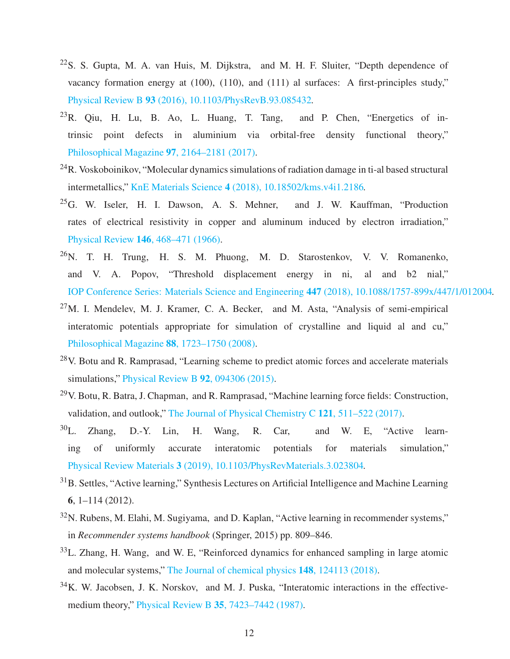- $^{22}$ S. S. Gupta, M. A. van Huis, M. Dijkstra, and M. H. F. Sluiter, "Depth dependence of vacancy formation energy at (100), (110), and (111) al surfaces: A first-principles study," Physical Review B 93 [\(2016\), 10.1103/PhysRevB.93.085432.](http://dx.doi.org/10.1103/PhysRevB.93.085432)
- $^{23}R$ . Qiu, H. Lu, B. Ao, L. Huang, T. Tang, and P. Chen, "Energetics of intrinsic point defects in aluminium via orbital-free density functional theory," [Philosophical Magazine](http://dx.doi.org/10.1080/14786435.2017.1328139) 97, 2164–2181 (2017).
- $^{24}$ R. Voskoboinikov, "Molecular dynamics simulations of radiation damage in ti-al based structural intermetallics," KnE Materials Science 4 [\(2018\), 10.18502/kms.v4i1.2186.](http://dx.doi.org/10.18502/kms.v4i1.2186)
- $^{25}$ G. W. Iseler, H. I. Dawson, A. S. Mehner, and J. W. Kauffman, "Production rates of electrical resistivity in copper and aluminum induced by electron irradiation," Physical Review 146[, 468–471 \(1966\).](http://dx.doi.org/10.1103/PhysRev.146.468)
- $^{26}N$ . T. H. Trung, H. S. M. Phuong, M. D. Starostenkov, V. V. Romanenko, and V. A. Popov, "Threshold displacement energy in ni, al and b2 nial," [IOP Conference Series: Materials Science and Engineering](http://dx.doi.org/ 10.1088/1757-899x/447/1/012004) 447 (2018), 10.1088/1757-899x/447/1/012004.
- $27$ M. I. Mendelev, M. J. Kramer, C. A. Becker, and M. Asta, "Analysis of semi-empirical interatomic potentials appropriate for simulation of crystalline and liquid al and cu," [Philosophical Magazine](http://dx.doi.org/10.1080/14786430802206482) 88, 1723–1750 (2008).
- $28$ V. Botu and R. Ramprasad, "Learning scheme to predict atomic forces and accelerate materials simulations," [Physical Review B](http://dx.doi.org/10.1103/PhysRevB.92.094306) 92, 094306 (2015).
- $29$ V. Botu, R. Batra, J. Chapman, and R. Ramprasad, "Machine learning force fields: Construction, validation, and outlook," [The Journal of Physical Chemistry C](http://dx.doi.org/ 10.1021/acs.jpcc.6b10908) 121, 511–522 (2017).
- <span id="page-11-0"></span> $30$ L. Zhang, D.-Y. Lin, H. Wang, R. Car, and W. E. "Active learning of uniformly accurate interatomic potentials for materials simulation," Physical Review Materials 3 [\(2019\), 10.1103/PhysRevMaterials.3.023804.](http://dx.doi.org/ 10.1103/PhysRevMaterials.3.023804)
- <span id="page-11-1"></span><sup>31</sup>B. Settles, "Active learning," Synthesis Lectures on Artificial Intelligence and Machine Learning 6, 1–114 (2012).
- <span id="page-11-2"></span> $32$ N. Rubens, M. Elahi, M. Sugiyama, and D. Kaplan, "Active learning in recommender systems," in *Recommender systems handbook* (Springer, 2015) pp. 809–846.
- <span id="page-11-3"></span><sup>33</sup>L. Zhang, H. Wang, and W. E, "Reinforced dynamics for enhanced sampling in large atomic and molecular systems," [The Journal of chemical physics](http://dx.doi.org/10.1063/1.5019675) 148, 124113 (2018).
- <sup>34</sup>K. W. Jacobsen, J. K. Norskov, and M. J. Puska, "Interatomic interactions in the effectivemedium theory," Physical Review B 35[, 7423–7442 \(1987\).](http://dx.doi.org/ 10.1103/PhysRevB.35.7423)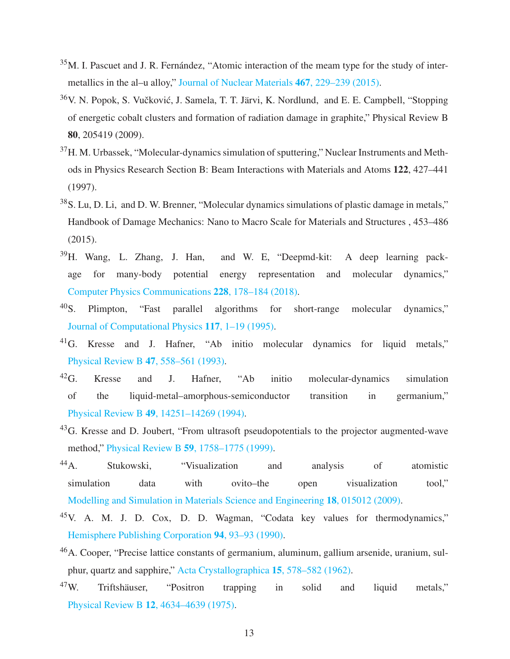- <span id="page-12-0"></span> $35$ M. I. Pascuet and J. R. Fernández, "Atomic interaction of the meam type for the study of intermetallics in the al–u alloy," [Journal of Nuclear Materials](http://dx.doi.org/10.1016/j.jnucmat.2015.09.030) 467, 229–239 (2015).
- <span id="page-12-1"></span><sup>36</sup>V. N. Popok, S. Vučković, J. Samela, T. T. Järvi, K. Nordlund, and E. E. Campbell, "Stopping of energetic cobalt clusters and formation of radiation damage in graphite," Physical Review B 80, 205419 (2009).
- <sup>37</sup>H. M. Urbassek, "Molecular-dynamics simulation of sputtering," Nuclear Instruments and Methods in Physics Research Section B: Beam Interactions with Materials and Atoms 122, 427–441 (1997).
- <span id="page-12-2"></span><sup>38</sup>S. Lu, D. Li, and D. W. Brenner, "Molecular dynamics simulations of plastic damage in metals," Handbook of Damage Mechanics: Nano to Macro Scale for Materials and Structures , 453–486 (2015).
- <span id="page-12-3"></span><sup>39</sup>H. Wang, L. Zhang, J. Han, and W. E, "Deepmd-kit: A deep learning package for many-body potential energy representation and molecular dynamics," [Computer Physics Communications](http://dx.doi.org/10.1016/j.cpc.2018.03.016) 228, 178–184 (2018).
- $^{40}$ S. Plimpton, "Fast parallel algorithms for short-range molecular dynamics," [Journal of Computational Physics](http://dx.doi.org/ https://doi.org/10.1006/jcph.1995.1039) 117, 1–19 (1995).
- <sup>41</sup>G. Kresse and J. Hafner, "Ab initio molecular dynamics for liquid metals," [Physical Review B](http://dx.doi.org/ 10.1103/PhysRevB.47.558) 47, 558–561 (1993).
- $^{42}$ G. Kresse and J. Hafner, "Ab initio molecular-dynamics simulation of the liquid-metal–amorphous-semiconductor transition in germanium," Physical Review B 49[, 14251–14269 \(1994\).](http://dx.doi.org/10.1103/PhysRevB.49.14251)
- <sup>43</sup>G. Kresse and D. Joubert, "From ultrasoft pseudopotentials to the projector augmented-wave method," Physical Review B 59[, 1758–1775 \(1999\).](http://dx.doi.org/ 10.1103/PhysRevB.59.1758)
- <sup>44</sup>A. Stukowski, "Visualization and analysis of atomistic simulation data with ovito–the open visualization tool," [Modelling and Simulation in Materials Science and Engineering](http://dx.doi.org/10.1088/0965-0393/18/1/015012) 18, 015012 (2009).
- <span id="page-12-4"></span><sup>45</sup>V. A. M. J. D. Cox, D. D. Wagman, "Codata key values for thermodynamics," [Hemisphere Publishing Corporation](http://dx.doi.org/10.1002/bbpc.19900940121) 94, 93–93 (1990).
- <span id="page-12-5"></span><sup>46</sup>A. Cooper, "Precise lattice constants of germanium, aluminum, gallium arsenide, uranium, sulphur, quartz and sapphire," [Acta Crystallographica](http://dx.doi.org/doi:10.1107/S0365110X62001474) 15, 578–582 (1962).
- <span id="page-12-6"></span><sup>47</sup>W. Triftshäuser, "Positron trapping in solid and liquid metals," Physical Review B 12[, 4634–4639 \(1975\).](http://dx.doi.org/ 10.1103/PhysRevB.12.4634)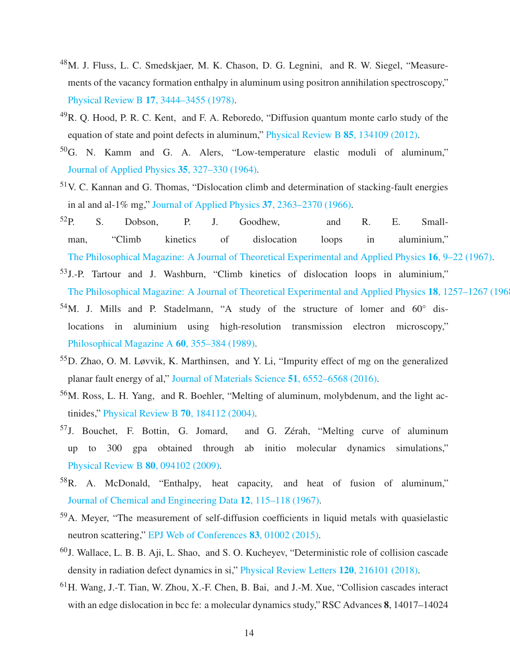- <span id="page-13-1"></span><sup>48</sup>M. J. Fluss, L. C. Smedskjaer, M. K. Chason, D. G. Legnini, and R. W. Siegel, "Measurements of the vacancy formation enthalpy in aluminum using positron annihilation spectroscopy," Physical Review B 17[, 3444–3455 \(1978\).](http://dx.doi.org/10.1103/PhysRevB.17.3444)
- <span id="page-13-2"></span> $^{49}R$ . Q. Hood, P. R. C. Kent, and F. A. Reboredo, "Diffusion quantum monte carlo study of the equation of state and point defects in aluminum," [Physical Review B](http://dx.doi.org/10.1103/PhysRevB.85.134109) 85, 134109 (2012).
- <span id="page-13-3"></span><sup>50</sup>G. N. Kamm and G. A. Alers, "Low-temperature elastic moduli of aluminum," [Journal of Applied Physics](http://dx.doi.org/10.1063/1.1713309) 35, 327–330 (1964).
- <span id="page-13-4"></span><sup>51</sup>V. C. Kannan and G. Thomas, "Dislocation climb and determination of stacking-fault energies in al and al-1% mg," [Journal of Applied Physics](http://dx.doi.org/10.1063/1.1708819) 37, 2363–2370 (1966).
- $52P.$  S. Dobson, P. J. Goodhew, and R. E. Smallman, "Climb kinetics of dislocation loops in aluminium," [The Philosophical Magazine: A Journal of Theoretical Experimental and Applied Physics](http://dx.doi.org/ 10.1080/14786436708229253) 16, 9–22 (1967).
- <sup>53</sup>J.-P. Tartour and J. Washburn, "Climb kinetics of dislocation loops in aluminium," [The Philosophical Magazine: A Journal of Theoretical Experimental and Applied Physics](http://dx.doi.org/ 10.1080/14786436808227755) 18, 1257–1267 (196
- <span id="page-13-5"></span> $54$ M. J. Mills and P. Stadelmann, "A study of the structure of lomer and  $60^\circ$  dislocations in aluminium using high-resolution transmission electron microscopy," [Philosophical Magazine A](http://dx.doi.org/ 10.1080/01418618908213867) 60, 355–384 (1989).
- <span id="page-13-6"></span><sup>55</sup>D. Zhao, O. M. Løvvik, K. Marthinsen, and Y. Li, "Impurity effect of mg on the generalized planar fault energy of al," [Journal of Materials Science](http://dx.doi.org/10.1007/s10853-016-9834-6) 51, 6552–6568 (2016).
- <span id="page-13-7"></span><sup>56</sup>M. Ross, L. H. Yang, and R. Boehler, "Melting of aluminum, molybdenum, and the light actinides," [Physical Review B](http://dx.doi.org/ 10.1103/PhysRevB.70.184112) 70, 184112 (2004).
- <span id="page-13-8"></span><sup>57</sup>J. Bouchet, F. Bottin, G. Jomard, and G. Zérah, "Melting curve of aluminum up to 300 gpa obtained through ab initio molecular dynamics simulations," [Physical Review B](http://dx.doi.org/ 10.1103/PhysRevB.80.094102) 80, 094102 (2009).
- <span id="page-13-9"></span><sup>58</sup>R. A. McDonald, "Enthalpy, heat capacity, and heat of fusion of aluminum," [Journal of Chemical and Engineering Data](http://dx.doi.org/ 10.1021/je60032a037) 12, 115–118 (1967).
- <span id="page-13-10"></span><sup>59</sup>A. Meyer, "The measurement of self-diffusion coefficients in liquid metals with quasielastic neutron scattering," [EPJ Web of Conferences](https://doi.org/10.1051/epjconf/20158301002) 83, 01002 (2015).
- <span id="page-13-0"></span><sup>60</sup>J. Wallace, L. B. B. Aji, L. Shao, and S. O. Kucheyev, "Deterministic role of collision cascade density in radiation defect dynamics in si," [Physical Review Letters](http://dx.doi.org/ 10.1103/PhysRevLett.120.216101) 120, 216101 (2018).
- <sup>61</sup>H. Wang, J.-T. Tian, W. Zhou, X.-F. Chen, B. Bai, and J.-M. Xue, "Collision cascades interact with an edge dislocation in bcc fe: a molecular dynamics study," RSC Advances 8, 14017–14024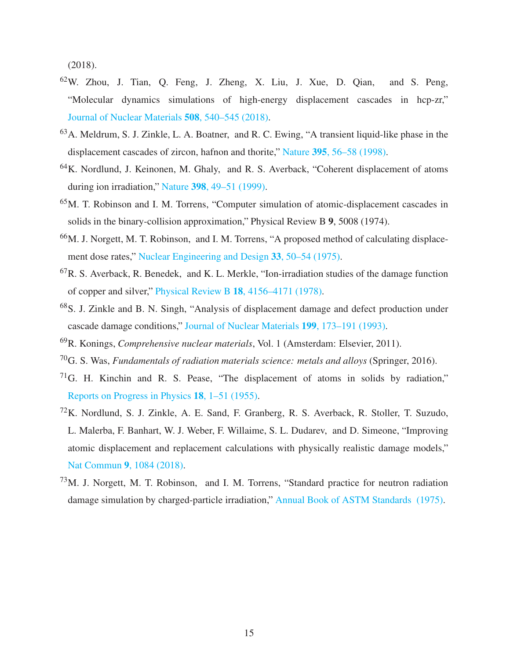(2018).

- <span id="page-14-0"></span><sup>62</sup>W. Zhou, J. Tian, Q. Feng, J. Zheng, X. Liu, J. Xue, D. Qian, and S. Peng, "Molecular dynamics simulations of high-energy displacement cascades in hcp-zr," [Journal of Nuclear Materials](http://dx.doi.org/ https://doi.org/10.1016/j.jnucmat.2018.06.002) 508, 540–545 (2018).
- <span id="page-14-1"></span><sup>63</sup>A. Meldrum, S. J. Zinkle, L. A. Boatner, and R. C. Ewing, "A transient liquid-like phase in the displacement cascades of zircon, hafnon and thorite," Nature 395[, 56–58 \(1998\).](http://dx.doi.org/ 10.1038/25698)
- <span id="page-14-2"></span><sup>64</sup>K. Nordlund, J. Keinonen, M. Ghaly, and R. S. Averback, "Coherent displacement of atoms during ion irradiation," Nature 398[, 49–51 \(1999\).](http://dx.doi.org/10.1038/17983)
- <span id="page-14-3"></span><sup>65</sup>M. T. Robinson and I. M. Torrens, "Computer simulation of atomic-displacement cascades in solids in the binary-collision approximation," Physical Review B 9, 5008 (1974).
- <sup>66</sup>M. J. Norgett, M. T. Robinson, and I. M. Torrens, "A proposed method of calculating displacement dose rates," [Nuclear Engineering and Design](http://dx.doi.org/ https://doi.org/10.1016/0029-5493(75)90035-7) 33, 50–54 (1975).
- ${}^{67}R$ . S. Averback, R. Benedek, and K. L. Merkle, "Ion-irradiation studies of the damage function of copper and silver," Physical Review B 18[, 4156–4171 \(1978\).](http://dx.doi.org/ 10.1103/PhysRevB.18.4156)
- <sup>68</sup>S. J. Zinkle and B. N. Singh, "Analysis of displacement damage and defect production under cascade damage conditions," [Journal of Nuclear Materials](http://dx.doi.org/https://doi.org/10.1016/0022-3115(93)90140-T) 199, 173–191 (1993).
- <sup>69</sup>R. Konings, *Comprehensive nuclear materials*, Vol. 1 (Amsterdam: Elsevier, 2011).
- <span id="page-14-4"></span><sup>70</sup>G. S. Was, *Fundamentals of radiation materials science: metals and alloys* (Springer, 2016).
- <span id="page-14-5"></span> $71G$ . H. Kinchin and R. S. Pease, "The displacement of atoms in solids by radiation," [Reports on Progress in Physics](http://dx.doi.org/ 10.1088/0034-4885/18/1/301) 18, 1–51 (1955).
- <sup>72</sup>K. Nordlund, S. J. Zinkle, A. E. Sand, F. Granberg, R. S. Averback, R. Stoller, T. Suzudo, L. Malerba, F. Banhart, W. J. Weber, F. Willaime, S. L. Dudarev, and D. Simeone, "Improving atomic displacement and replacement calculations with physically realistic damage models," Nat Commun 9[, 1084 \(2018\).](http://dx.doi.org/10.1038/s41467-018-03415-5)
- <span id="page-14-6"></span><sup>73</sup>M. J. Norgett, M. T. Robinson, and I. M. Torrens, "Standard practice for neutron radiation damage simulation by charged-particle irradiation," [Annual Book of ASTM Standards \(1975\).](http://www.astm.org/cgi-bin/resolver.cgi?E521-96)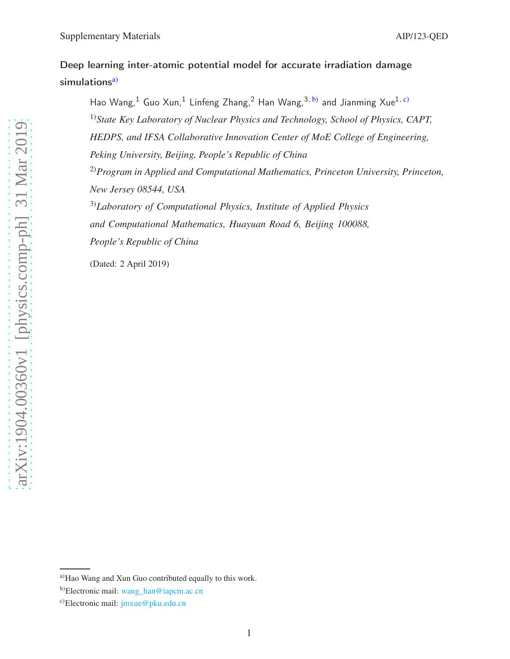# Deep learning inter-atomic potential model for accurate irradiation damage simulations<sup>[a\)](#page-15-0)</sup>

Hao Wang,<sup>1</sup> Guo Xun,<sup>1</sup> Linfeng Zhang,<sup>2</sup> Han Wang,<sup>3, [b\)](#page-15-1)</sup> and Jianming Xue<sup>1, [c\)](#page-15-2)</sup> 1)*State Key Laboratory of Nuclear Physics and Technology, School of Physics, CAPT, HEDPS, and IFSA Collaborative Innovation Center of MoE College of Engineering, Peking University, Beijing, People's Republic of China* 2)*Program in Applied and Computational Mathematics, Princeton University, Princeton, New Jersey 08544, USA* 3)*Laboratory of Computational Physics, Institute of Applied Physics and Computational Mathematics, Huayuan Road 6, Beijing 100088, People's Republic of China*

(Dated: 2 April 2019)

<span id="page-15-1"></span><span id="page-15-0"></span>a)Hao Wang and Xun Guo contributed equally to this work.

<span id="page-15-2"></span>b)Electronic mail: [wang\\_han@iapcm.ac.cn](mailto:wang_han@iapcm.ac.cn)

c)Electronic mail: [jmxue@pku.edu.cn](mailto:jmxue@pku.edu.cn)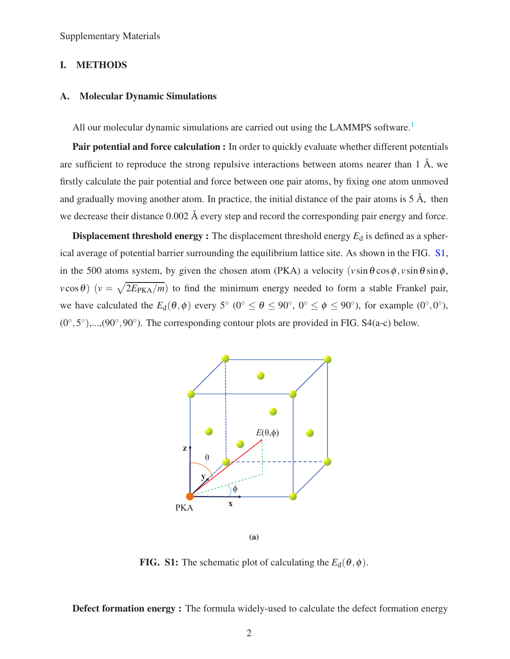Supplementary Materials

### I. METHODS

### A. Molecular Dynamic Simulations

All our molecular dynamic simulations are carried out using the LAMMPS software.<sup>[1](#page-23-0)</sup>

Pair potential and force calculation : In order to quickly evaluate whether different potentials are sufficient to reproduce the strong repulsive interactions between atoms nearer than 1 Å, we firstly calculate the pair potential and force between one pair atoms, by fixing one atom unmoved and gradually moving another atom. In practice, the initial distance of the pair atoms is  $5 \text{ Å}$ , then we decrease their distance 0.002 Å every step and record the corresponding pair energy and force.

<span id="page-16-0"></span>**Displacement threshold energy :** The displacement threshold energy  $E_d$  is defined as a spherical average of potential barrier surrounding the equilibrium lattice site. As shown in the FIG. [S1,](#page-16-0) in the 500 atoms system, by given the chosen atom (PKA) a velocity  $(v \sin \theta \cos \phi, v \sin \theta \sin \phi,$  $v\cos\theta$ ) ( $v = \sqrt{2E_{\text{PKA}}/m}$ ) to find the minimum energy needed to form a stable Frankel pair, we have calculated the  $E_d(\theta, \phi)$  every 5<sup>°</sup> (0<sup>°</sup>  $\leq \theta \leq 90$ <sup>°</sup>, 0<sup>°</sup>  $\leq \phi \leq 90$ <sup>°</sup>), for example (0<sup>°</sup>,0<sup>°</sup>),  $(0^\circ, 5^\circ), ..., (90^\circ, 90^\circ)$ . The corresponding contour plots are provided in FIG. S4(a-c) below.



FIG. S1: The schematic plot of calculating the  $E_d(\theta, \phi)$ .

Defect formation energy : The formula widely-used to calculate the defect formation energy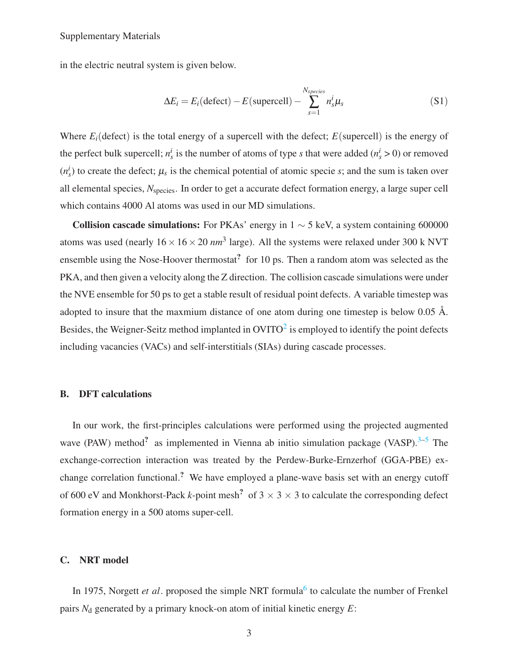#### Supplementary Materials

in the electric neutral system is given below.

$$
\Delta E_i = E_i(\text{defect}) - E(\text{supercell}) - \sum_{s=1}^{N_{species}} n_s^i \mu_s \tag{S1}
$$

Where  $E_i$ (defect) is the total energy of a supercell with the defect;  $E$ (supercell) is the energy of the perfect bulk supercell;  $n_s^i$  is the number of atoms of type *s* that were added ( $n_s^i > 0$ ) or removed  $(n_s^i)$  to create the defect;  $\mu_s$  is the chemical potential of atomic specie *s*; and the sum is taken over all elemental species, *N*species. In order to get a accurate defect formation energy, a large super cell which contains 4000 Al atoms was used in our MD simulations.

Collision cascade simulations: For PKAs' energy in  $1 \sim 5$  keV, a system containing 600000 atoms was used (nearly  $16 \times 16 \times 20$  *nm*<sup>3</sup> large). All the systems were relaxed under 300 k NVT ensemble using the Nose-Hoover thermostat<sup>2</sup> for 10 ps. Then a random atom was selected as the PKA, and then given a velocity along the Z direction. The collision cascade simulations were under the NVE ensemble for 50 ps to get a stable result of residual point defects. A variable timestep was adopted to insure that the maxmium distance of one atom during one timestep is below 0.05 Å. Besides, the Weigner-Seitz method implanted in  $\text{OVITO}^2$  $\text{OVITO}^2$  is employed to identify the point defects including vacancies (VACs) and self-interstitials (SIAs) during cascade processes.

#### B. DFT calculations

In our work, the first-principles calculations were performed using the projected augmented wave (PAW) method<sup>?</sup> as implemented in Vienna ab initio simulation package (VASP).<sup>[3](#page-24-3)[–5](#page-24-4)</sup> The exchange-correction interaction was treated by the Perdew-Burke-Ernzerhof (GGA-PBE) exchange correlation functional.? We have employed a plane-wave basis set with an energy cutoff of 600 eV and Monkhorst-Pack *k*-point mesh<sup>?</sup> of  $3 \times 3 \times 3$  to calculate the corresponding defect formation energy in a 500 atoms super-cell.

#### C. NRT model

In 1975, Norgett *et al*. proposed the simple NRT formula<sup>[6](#page-24-5)</sup> to calculate the number of Frenkel pairs  $N_d$  generated by a primary knock-on atom of initial kinetic energy  $E$ :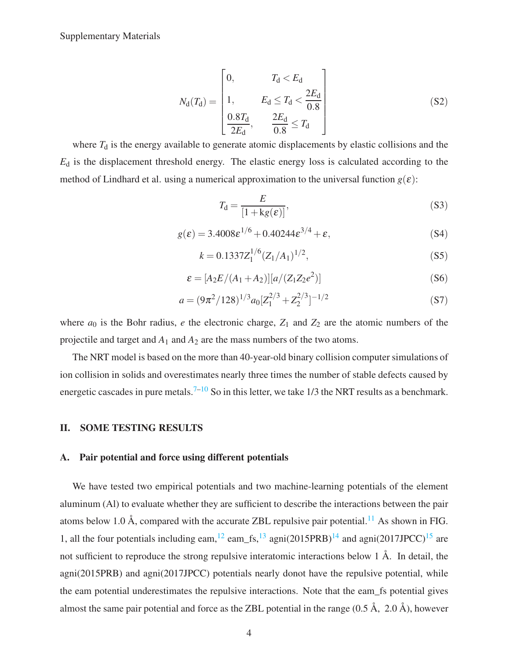$$
N_{\rm d}(T_{\rm d}) = \begin{bmatrix} 0, & T_{\rm d} < E_{\rm d} \\ 1, & E_{\rm d} \le T_{\rm d} < \frac{2E_{\rm d}}{0.8} \\ \frac{0.8T_{\rm d}}{2E_{\rm d}}, & \frac{2E_{\rm d}}{0.8} \le T_{\rm d} \end{bmatrix} \tag{S2}
$$

where  $T_d$  is the energy available to generate atomic displacements by elastic collisions and the *E*<sup>d</sup> is the displacement threshold energy. The elastic energy loss is calculated according to the method of Lindhard et al. using a numerical approximation to the universal function  $g(\varepsilon)$ :

$$
T_{\rm d} = \frac{E}{[1 + \text{kg}(\varepsilon)]},\tag{S3}
$$

$$
g(\varepsilon) = 3.4008 \varepsilon^{1/6} + 0.40244 \varepsilon^{3/4} + \varepsilon,
$$
 (S4)

$$
k = 0.1337 Z_1^{1/6} (Z_1/A_1)^{1/2},
$$
\n(S5)

$$
\varepsilon = [A_2 E / (A_1 + A_2)][a / (Z_1 Z_2 e^2)]
$$
\n(S6)

$$
a = (9\pi^2/128)^{1/3} a_0 [Z_1^{2/3} + Z_2^{2/3}]^{-1/2}
$$
 (S7)

where  $a_0$  is the Bohr radius, *e* the electronic charge,  $Z_1$  and  $Z_2$  are the atomic numbers of the projectile and target and *A*<sup>1</sup> and *A*<sup>2</sup> are the mass numbers of the two atoms.

The NRT model is based on the more than 40-year-old binary collision computer simulations of ion collision in solids and overestimates nearly three times the number of stable defects caused by energetic cascades in pure metals.<sup>[7](#page-24-8)[–10](#page-24-7)</sup> So in this letter, we take 1/3 the NRT results as a benchmark.

#### II. SOME TESTING RESULTS

#### A. Pair potential and force using different potentials

We have tested two empirical potentials and two machine-learning potentials of the element aluminum (Al) to evaluate whether they are sufficient to describe the interactions between the pair atoms below 1.0 Å, compared with the accurate ZBL repulsive pair potential.<sup>[11](#page-24-0)</sup> As shown in FIG. 1, all the four potentials including eam,  $^{12}$  $^{12}$  $^{12}$  eam\_fs,  $^{13}$  $^{13}$  $^{13}$  agni(2015PRB)<sup>[14](#page-24-10)</sup> and agni(2017JPCC)<sup>[15](#page-24-1)</sup> are not sufficient to reproduce the strong repulsive interatomic interactions below 1 Å. In detail, the agni(2015PRB) and agni(2017JPCC) potentials nearly donot have the repulsive potential, while the eam potential underestimates the repulsive interactions. Note that the eam\_fs potential gives almost the same pair potential and force as the ZBL potential in the range  $(0.5 \text{ Å}, 2.0 \text{ Å})$ , however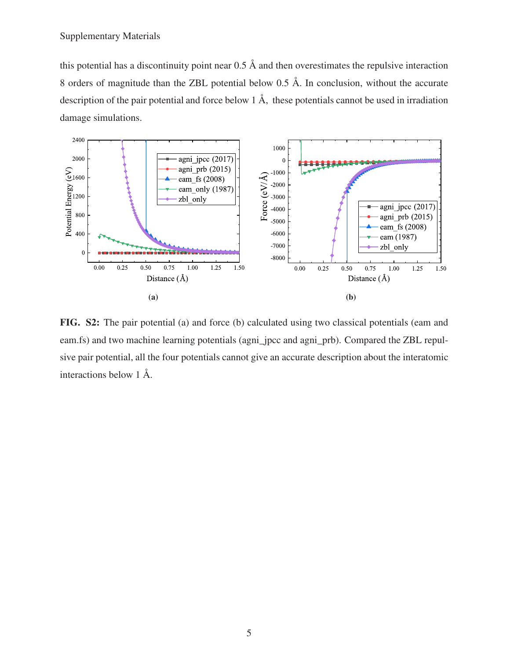this potential has a discontinuity point near 0.5 Å and then overestimates the repulsive interaction 8 orders of magnitude than the ZBL potential below 0.5 Å. In conclusion, without the accurate description of the pair potential and force below 1 Å, these potentials cannot be used in irradiation damage simulations.



FIG. S2: The pair potential (a) and force (b) calculated using two classical potentials (eam and eam.fs) and two machine learning potentials (agni proce and agni prb). Compared the ZBL repulsive pair potential, all the four potentials cannot give an accurate description about the interatomic interactions below 1 Å.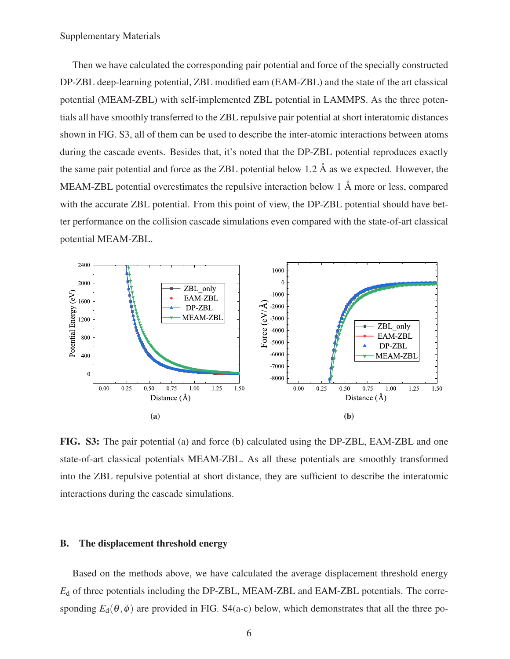Then we have calculated the corresponding pair potential and force of the specially constructed DP-ZBL deep-learning potential, ZBL modified eam (EAM-ZBL) and the state of the art classical potential (MEAM-ZBL) with self-implemented ZBL potential in LAMMPS. As the three potentials all have smoothly transferred to the ZBL repulsive pair potential at short interatomic distances shown in FIG. S3, all of them can be used to describe the inter-atomic interactions between atoms during the cascade events. Besides that, it's noted that the DP-ZBL potential reproduces exactly the same pair potential and force as the ZBL potential below 1.2  $\AA$  as we expected. However, the MEAM-ZBL potential overestimates the repulsive interaction below 1 Å more or less, compared with the accurate ZBL potential. From this point of view, the DP-ZBL potential should have better performance on the collision cascade simulations even compared with the state-of-art classical potential MEAM-ZBL.

<span id="page-20-0"></span>

FIG. S3: The pair potential (a) and force (b) calculated using the DP-ZBL, EAM-ZBL and one state-of-art classical potentials MEAM-ZBL. As all these potentials are smoothly transformed into the ZBL repulsive potential at short distance, they are sufficient to describe the interatomic interactions during the cascade simulations.

#### B. The displacement threshold energy

Based on the methods above, we have calculated the average displacement threshold energy *E*<sup>d</sup> of three potentials including the DP-ZBL, MEAM-ZBL and EAM-ZBL potentials. The corresponding  $E_d(\theta, \phi)$  are provided in FIG. S4(a-c) below, which demonstrates that all the three po-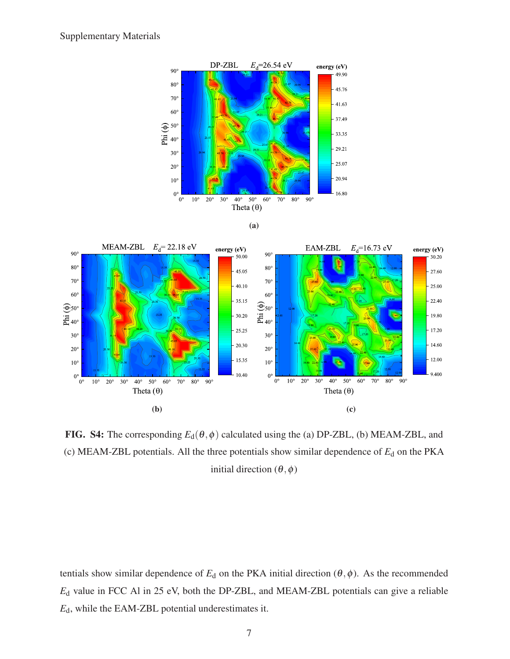





FIG. S4: The corresponding  $E_d(\theta, \phi)$  calculated using the (a) DP-ZBL, (b) MEAM-ZBL, and (c) MEAM-ZBL potentials. All the three potentials show similar dependence of  $E_d$  on the PKA initial direction  $(\theta, \phi)$ 

tentials show similar dependence of  $E_d$  on the PKA initial direction ( $\theta$ , $\phi$ ). As the recommended *E*<sup>d</sup> value in FCC Al in 25 eV, both the DP-ZBL, and MEAM-ZBL potentials can give a reliable *E*d, while the EAM-ZBL potential underestimates it.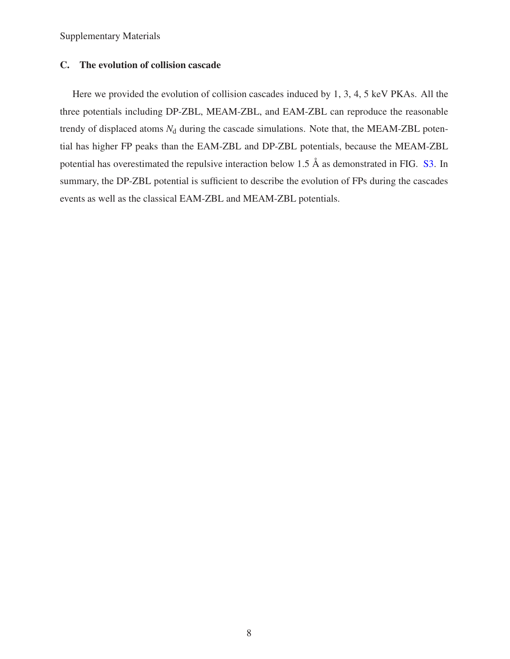Supplementary Materials

## C. The evolution of collision cascade

Here we provided the evolution of collision cascades induced by 1, 3, 4, 5 keV PKAs. All the three potentials including DP-ZBL, MEAM-ZBL, and EAM-ZBL can reproduce the reasonable trendy of displaced atoms  $N_d$  during the cascade simulations. Note that, the MEAM-ZBL potential has higher FP peaks than the EAM-ZBL and DP-ZBL potentials, because the MEAM-ZBL potential has overestimated the repulsive interaction below 1.5 Å as demonstrated in FIG. [S3.](#page-20-0) In summary, the DP-ZBL potential is sufficient to describe the evolution of FPs during the cascades events as well as the classical EAM-ZBL and MEAM-ZBL potentials.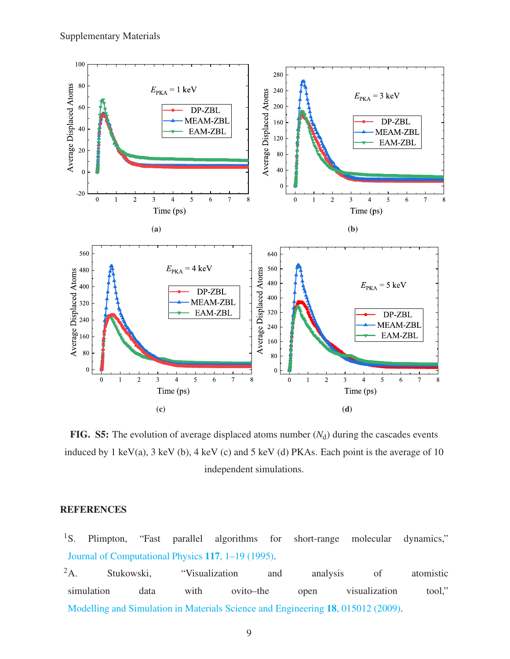

FIG. S5: The evolution of average displaced atoms number  $(N_d)$  during the cascades events induced by 1 keV(a), 3 keV (b), 4 keV (c) and 5 keV (d) PKAs. Each point is the average of 10 independent simulations.

# **REFERENCES**

- <span id="page-23-0"></span><sup>1</sup>S. Plimpton, "Fast parallel algorithms for short-range molecular dynamics," [Journal of Computational Physics](http://dx.doi.org/ https://doi.org/10.1006/jcph.1995.1039) 117, 1–19 (1995).
- <span id="page-23-1"></span><sup>2</sup>A. Stukowski, "Visualization and analysis of atomistic simulation data with ovito–the open visualization tool," [Modelling and Simulation in Materials Science and Engineering](http://dx.doi.org/10.1088/0965-0393/18/1/015012) 18, 015012 (2009).